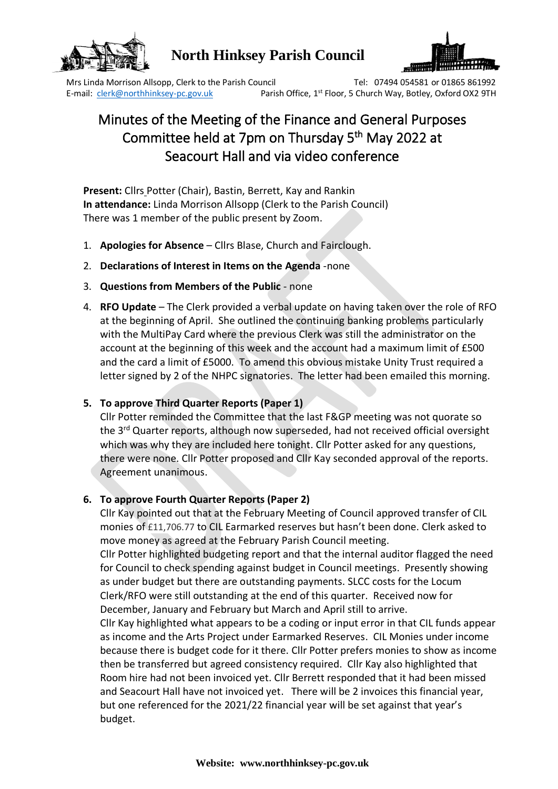

## **North Hinksey Parish Council**



Mrs Linda Morrison Allsopp, Clerk to the Parish Council Tel: 07494 054581 or 01865 861992 E-mail: clerk@northhinksey-pc.gov.uk Parish Office, 1<sup>st</sup> Floor, 5 Church Way, Botley, Oxford OX2 9TH

# Minutes of the Meeting of the Finance and General Purposes Committee held at 7pm on Thursday 5<sup>th</sup> May 2022 at Seacourt Hall and via video conference

**Present:** Cllrs Potter (Chair), Bastin, Berrett, Kay and Rankin **In attendance:** Linda Morrison Allsopp (Clerk to the Parish Council) There was 1 member of the public present by Zoom.

- 1. **Apologies for Absence** Cllrs Blase, Church and Fairclough.
- 2. **Declarations of Interest in Items on the Agenda** -none
- 3. **Questions from Members of the Public** none
- 4. **RFO Update** The Clerk provided a verbal update on having taken over the role of RFO at the beginning of April. She outlined the continuing banking problems particularly with the MultiPay Card where the previous Clerk was still the administrator on the account at the beginning of this week and the account had a maximum limit of £500 and the card a limit of £5000. To amend this obvious mistake Unity Trust required a letter signed by 2 of the NHPC signatories. The letter had been emailed this morning.

### **5. To approve Third Quarter Reports (Paper 1)**

Cllr Potter reminded the Committee that the last F&GP meeting was not quorate so the 3<sup>rd</sup> Quarter reports, although now superseded, had not received official oversight which was why they are included here tonight. Cllr Potter asked for any questions, there were none. Cllr Potter proposed and Cllr Kay seconded approval of the reports. Agreement unanimous.

#### **6. To approve Fourth Quarter Reports (Paper 2)**

Cllr Kay pointed out that at the February Meeting of Council approved transfer of CIL monies of £11,706.77 to CIL Earmarked reserves but hasn't been done. Clerk asked to move money as agreed at the February Parish Council meeting.

Cllr Potter highlighted budgeting report and that the internal auditor flagged the need for Council to check spending against budget in Council meetings. Presently showing as under budget but there are outstanding payments. SLCC costs for the Locum Clerk/RFO were still outstanding at the end of this quarter. Received now for December, January and February but March and April still to arrive.

Cllr Kay highlighted what appears to be a coding or input error in that CIL funds appear as income and the Arts Project under Earmarked Reserves. CIL Monies under income because there is budget code for it there. Cllr Potter prefers monies to show as income then be transferred but agreed consistency required. Cllr Kay also highlighted that Room hire had not been invoiced yet. Cllr Berrett responded that it had been missed and Seacourt Hall have not invoiced yet. There will be 2 invoices this financial year, but one referenced for the 2021/22 financial year will be set against that year's budget.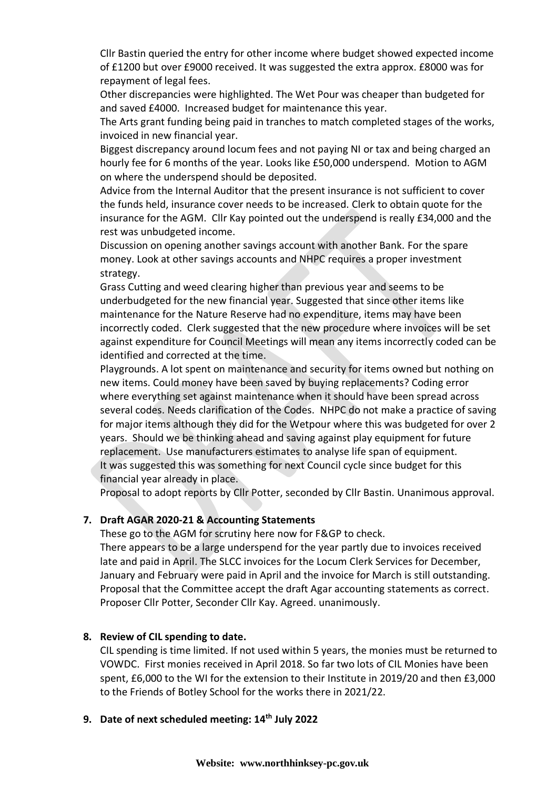Cllr Bastin queried the entry for other income where budget showed expected income of £1200 but over £9000 received. It was suggested the extra approx. £8000 was for repayment of legal fees.

Other discrepancies were highlighted. The Wet Pour was cheaper than budgeted for and saved £4000. Increased budget for maintenance this year.

The Arts grant funding being paid in tranches to match completed stages of the works, invoiced in new financial year.

Biggest discrepancy around locum fees and not paying NI or tax and being charged an hourly fee for 6 months of the year. Looks like £50,000 underspend. Motion to AGM on where the underspend should be deposited.

Advice from the Internal Auditor that the present insurance is not sufficient to cover the funds held, insurance cover needs to be increased. Clerk to obtain quote for the insurance for the AGM. Cllr Kay pointed out the underspend is really £34,000 and the rest was unbudgeted income.

Discussion on opening another savings account with another Bank. For the spare money. Look at other savings accounts and NHPC requires a proper investment strategy.

Grass Cutting and weed clearing higher than previous year and seems to be underbudgeted for the new financial year. Suggested that since other items like maintenance for the Nature Reserve had no expenditure, items may have been incorrectly coded. Clerk suggested that the new procedure where invoices will be set against expenditure for Council Meetings will mean any items incorrectly coded can be identified and corrected at the time.

Playgrounds. A lot spent on maintenance and security for items owned but nothing on new items. Could money have been saved by buying replacements? Coding error where everything set against maintenance when it should have been spread across several codes. Needs clarification of the Codes. NHPC do not make a practice of saving for major items although they did for the Wetpour where this was budgeted for over 2 years. Should we be thinking ahead and saving against play equipment for future replacement. Use manufacturers estimates to analyse life span of equipment. It was suggested this was something for next Council cycle since budget for this financial year already in place.

Proposal to adopt reports by Cllr Potter, seconded by Cllr Bastin. Unanimous approval.

#### **7. Draft AGAR 2020-21 & Accounting Statements**

These go to the AGM for scrutiny here now for F&GP to check.

There appears to be a large underspend for the year partly due to invoices received late and paid in April. The SLCC invoices for the Locum Clerk Services for December, January and February were paid in April and the invoice for March is still outstanding. Proposal that the Committee accept the draft Agar accounting statements as correct. Proposer Cllr Potter, Seconder Cllr Kay. Agreed. unanimously.

#### **8. Review of CIL spending to date.**

CIL spending is time limited. If not used within 5 years, the monies must be returned to VOWDC. First monies received in April 2018. So far two lots of CIL Monies have been spent, £6,000 to the WI for the extension to their Institute in 2019/20 and then £3,000 to the Friends of Botley School for the works there in 2021/22.

#### **9. Date of next scheduled meeting: 14th July 2022**